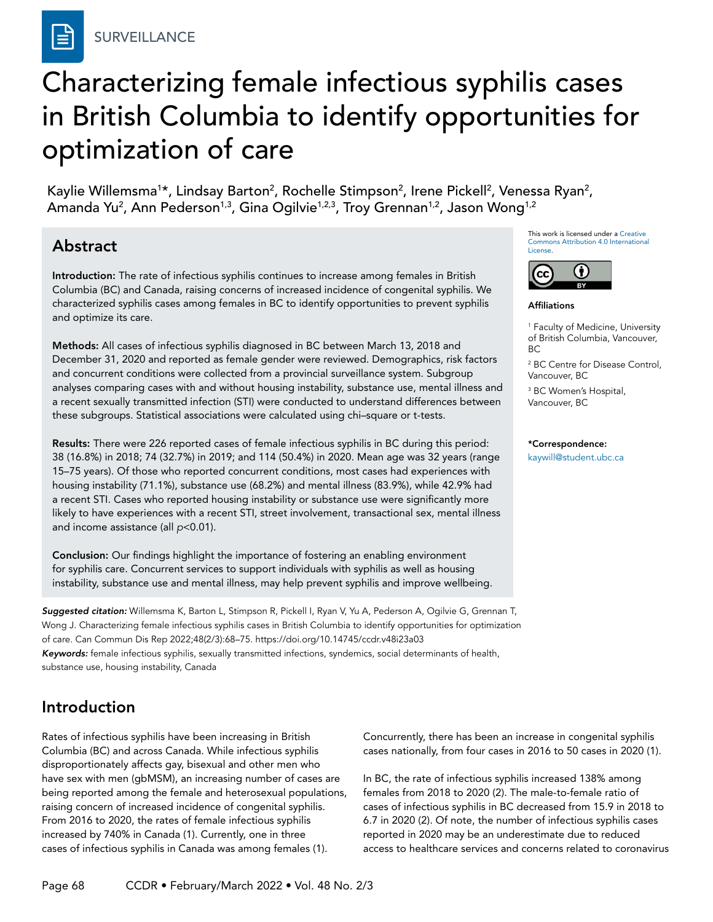# Characterizing female infectious syphilis cases in British Columbia to identify opportunities for optimization of care

Kaylie Willemsma<sup>1\*</sup>, Lindsay Barton<sup>2</sup>, Rochelle Stimpson<sup>2</sup>, Irene Pickell<sup>2</sup>, Venessa Ryan<sup>2</sup>, Amanda Yu<sup>2</sup>, Ann Pederson<sup>1,3</sup>, Gina Ogilvie<sup>1,2,3</sup>, Troy Grennan<sup>1,2</sup>, Jason Wong<sup>1,2</sup>

# Abstract

Introduction: The rate of infectious syphilis continues to increase among females in British Columbia (BC) and Canada, raising concerns of increased incidence of congenital syphilis. We characterized syphilis cases among females in BC to identify opportunities to prevent syphilis and optimize its care.

Methods: All cases of infectious syphilis diagnosed in BC between March 13, 2018 and December 31, 2020 and reported as female gender were reviewed. Demographics, risk factors and concurrent conditions were collected from a provincial surveillance system. Subgroup analyses comparing cases with and without housing instability, substance use, mental illness and a recent sexually transmitted infection (STI) were conducted to understand differences between these subgroups. Statistical associations were calculated using chi–square or t-tests.

Results: There were 226 reported cases of female infectious syphilis in BC during this period: 38 (16.8%) in 2018; 74 (32.7%) in 2019; and 114 (50.4%) in 2020. Mean age was 32 years (range 15–75 years). Of those who reported concurrent conditions, most cases had experiences with housing instability (71.1%), substance use (68.2%) and mental illness (83.9%), while 42.9% had a recent STI. Cases who reported housing instability or substance use were significantly more likely to have experiences with a recent STI, street involvement, transactional sex, mental illness and income assistance (all *p*<0.01).

Conclusion: Our findings highlight the importance of fostering an enabling environment for syphilis care. Concurrent services to support individuals with syphilis as well as housing instability, substance use and mental illness, may help prevent syphilis and improve wellbeing.

*Suggested citation:* Willemsma K, Barton L, Stimpson R, Pickell I, Ryan V, Yu A, Pederson A, Ogilvie G, Grennan T, Wong J. Characterizing female infectious syphilis cases in British Columbia to identify opportunities for optimization of care. Can Commun Dis Rep 2022;48(2/3):68–75. https://doi.org/10.14745/ccdr.v48i23a03 *Keywords:* female infectious syphilis, sexually transmitted infections, syndemics, social determinants of health, substance use, housing instability, Canada

# Introduction

Rates of infectious syphilis have been increasing in British Columbia (BC) and across Canada. While infectious syphilis disproportionately affects gay, bisexual and other men who have sex with men (gbMSM), an increasing number of cases are being reported among the female and heterosexual populations, raising concern of increased incidence of congenital syphilis. From 2016 to 2020, the rates of female infectious syphilis increased by 740% in Canada (1). Currently, one in three cases of infectious syphilis in Canada was among females (1).

This work is licensed under a [Creative](https://creativecommons.org/licenses/by/4.0/)  [Commons Attribution 4.0 International](https://creativecommons.org/licenses/by/4.0/)  [License](https://creativecommons.org/licenses/by/4.0/).



#### Affiliations

1 Faculty of Medicine, University of British Columbia, Vancouver, BC

2 BC Centre for Disease Control, Vancouver, BC

3 BC Women's Hospital, Vancouver, BC

#### \*Correspondence:

[kaywill@student.ubc.ca](mailto:kaywill%40student.ubc.ca?subject=)

Concurrently, there has been an increase in congenital syphilis cases nationally, from four cases in 2016 to 50 cases in 2020 (1).

In BC, the rate of infectious syphilis increased 138% among females from 2018 to 2020 (2). The male-to-female ratio of cases of infectious syphilis in BC decreased from 15.9 in 2018 to 6.7 in 2020 (2). Of note, the number of infectious syphilis cases reported in 2020 may be an underestimate due to reduced access to healthcare services and concerns related to coronavirus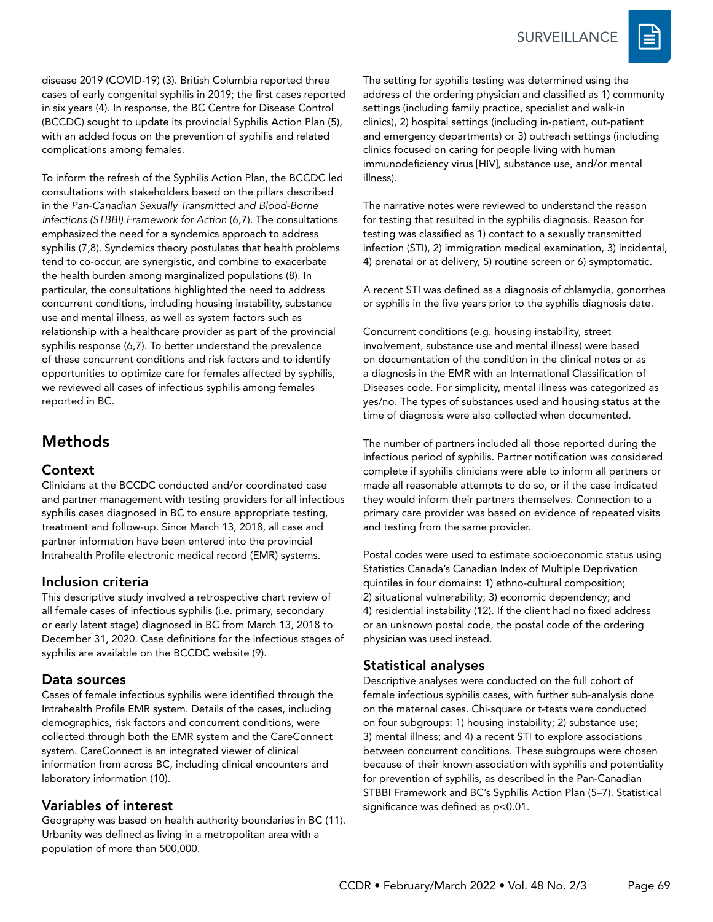

disease 2019 (COVID-19) (3). British Columbia reported three cases of early congenital syphilis in 2019; the first cases reported in six years (4). In response, the BC Centre for Disease Control (BCCDC) sought to update its provincial Syphilis Action Plan (5), with an added focus on the prevention of syphilis and related complications among females.

To inform the refresh of the Syphilis Action Plan, the BCCDC led consultations with stakeholders based on the pillars described in the *Pan-Canadian Sexually Transmitted and Blood-Borne Infections (STBBI) Framework for Action* (6,7). The consultations emphasized the need for a syndemics approach to address syphilis (7,8). Syndemics theory postulates that health problems tend to co-occur, are synergistic, and combine to exacerbate the health burden among marginalized populations (8). In particular, the consultations highlighted the need to address concurrent conditions, including housing instability, substance use and mental illness, as well as system factors such as relationship with a healthcare provider as part of the provincial syphilis response (6,7). To better understand the prevalence of these concurrent conditions and risk factors and to identify opportunities to optimize care for females affected by syphilis, we reviewed all cases of infectious syphilis among females reported in BC.

# Methods

### **Context**

Clinicians at the BCCDC conducted and/or coordinated case and partner management with testing providers for all infectious syphilis cases diagnosed in BC to ensure appropriate testing, treatment and follow-up. Since March 13, 2018, all case and partner information have been entered into the provincial Intrahealth Profile electronic medical record (EMR) systems.

### Inclusion criteria

This descriptive study involved a retrospective chart review of all female cases of infectious syphilis (i.e. primary, secondary or early latent stage) diagnosed in BC from March 13, 2018 to December 31, 2020. Case definitions for the infectious stages of syphilis are available on the BCCDC website (9).

### Data sources

Cases of female infectious syphilis were identified through the Intrahealth Profile EMR system. Details of the cases, including demographics, risk factors and concurrent conditions, were collected through both the EMR system and the CareConnect system. CareConnect is an integrated viewer of clinical information from across BC, including clinical encounters and laboratory information (10).

### Variables of interest

Geography was based on health authority boundaries in BC (11). Urbanity was defined as living in a metropolitan area with a population of more than 500,000.

The setting for syphilis testing was determined using the address of the ordering physician and classified as 1) community settings (including family practice, specialist and walk-in clinics), 2) hospital settings (including in-patient, out-patient and emergency departments) or 3) outreach settings (including clinics focused on caring for people living with human immunodeficiency virus [HIV], substance use, and/or mental illness).

The narrative notes were reviewed to understand the reason for testing that resulted in the syphilis diagnosis. Reason for testing was classified as 1) contact to a sexually transmitted infection (STI), 2) immigration medical examination, 3) incidental, 4) prenatal or at delivery, 5) routine screen or 6) symptomatic.

A recent STI was defined as a diagnosis of chlamydia, gonorrhea or syphilis in the five years prior to the syphilis diagnosis date.

Concurrent conditions (e.g. housing instability, street involvement, substance use and mental illness) were based on documentation of the condition in the clinical notes or as a diagnosis in the EMR with an International Classification of Diseases code. For simplicity, mental illness was categorized as yes/no. The types of substances used and housing status at the time of diagnosis were also collected when documented.

The number of partners included all those reported during the infectious period of syphilis. Partner notification was considered complete if syphilis clinicians were able to inform all partners or made all reasonable attempts to do so, or if the case indicated they would inform their partners themselves. Connection to a primary care provider was based on evidence of repeated visits and testing from the same provider.

Postal codes were used to estimate socioeconomic status using Statistics Canada's Canadian Index of Multiple Deprivation quintiles in four domains: 1) ethno-cultural composition; 2) situational vulnerability; 3) economic dependency; and 4) residential instability (12). If the client had no fixed address or an unknown postal code, the postal code of the ordering physician was used instead.

### Statistical analyses

Descriptive analyses were conducted on the full cohort of female infectious syphilis cases, with further sub-analysis done on the maternal cases. Chi-square or t-tests were conducted on four subgroups: 1) housing instability; 2) substance use; 3) mental illness; and 4) a recent STI to explore associations between concurrent conditions. These subgroups were chosen because of their known association with syphilis and potentiality for prevention of syphilis, as described in the Pan-Canadian STBBI Framework and BC's Syphilis Action Plan (5–7). Statistical significance was defined as *p*<0.01.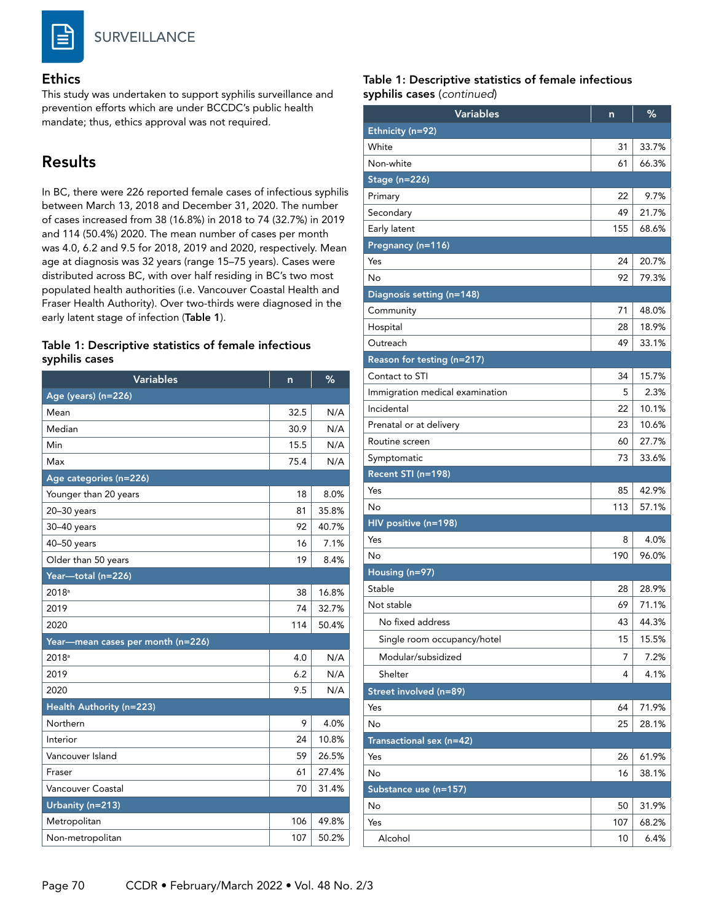

#### Ethics

This study was undertaken to support syphilis surveillance and prevention efforts which are under BCCDC's public health mandate; thus, ethics approval was not required.

### Results

In BC, there were 226 reported female cases of infectious syphilis between March 13, 2018 and December 31, 2020. The number of cases increased from 38 (16.8%) in 2018 to 74 (32.7%) in 2019 and 114 (50.4%) 2020. The mean number of cases per month was 4.0, 6.2 and 9.5 for 2018, 2019 and 2020, respectively. Mean age at diagnosis was 32 years (range 15–75 years). Cases were distributed across BC, with over half residing in BC's two most populated health authorities (i.e. Vancouver Coastal Health and Fraser Health Authority). Over two-thirds were diagnosed in the early latent stage of infection (Table 1).

#### Table 1: Descriptive statistics of female infectious syphilis cases

| <b>Variables</b>                  | n    | %     |
|-----------------------------------|------|-------|
| Age (years) (n=226)               |      |       |
| Mean                              | 32.5 | N/A   |
| Median                            | 30.9 | N/A   |
| Min                               | 15.5 | N/A   |
| Max                               | 75.4 | N/A   |
| Age categories (n=226)            |      |       |
| Younger than 20 years             | 18   | 8.0%  |
| $20 - 30$ years                   | 81   | 35.8% |
| 30-40 years                       | 92   | 40.7% |
| 40-50 years                       | 16   | 7.1%  |
| Older than 50 years               | 19   | 8.4%  |
| Year-total (n=226)                |      |       |
| 2018 <sup>a</sup>                 | 38   | 16.8% |
| 2019                              | 74   | 32.7% |
| 2020                              | 114  | 50.4% |
| Year—mean cases per month (n=226) |      |       |
| $2018^a$                          | 4.0  | N/A   |
| 2019                              | 6.2  | N/A   |
| 2020                              | 9.5  | N/A   |
| Health Authority (n=223)          |      |       |
| Northern                          | 9    | 4.0%  |
| Interior                          | 24   | 10.8% |
| Vancouver Island                  | 59   | 26.5% |
| Fraser                            | 61   | 27.4% |
| Vancouver Coastal                 | 70   | 31.4% |
| Urbanity (n=213)                  |      |       |
| Metropolitan                      | 106  | 49.8% |
| Non-metropolitan                  | 107  | 50.2% |

#### Table 1: Descriptive statistics of female infectious syphilis cases (*continued*)

| <b>Variables</b>                | n   | %     |
|---------------------------------|-----|-------|
| Ethnicity (n=92)                |     |       |
| White                           | 31  | 33.7% |
| Non-white                       | 61  | 66.3% |
| <b>Stage (n=226)</b>            |     |       |
| Primary                         | 22  | 9.7%  |
| Secondary                       | 49  | 21.7% |
| Early latent                    | 155 | 68.6% |
| Pregnancy (n=116)               |     |       |
| Yes                             | 24  | 20.7% |
| No                              | 92  | 79.3% |
| Diagnosis setting (n=148)       |     |       |
| Community                       | 71  | 48.0% |
| Hospital                        | 28  | 18.9% |
| Outreach                        | 49  | 33.1% |
| Reason for testing (n=217)      |     |       |
| Contact to STI                  | 34  | 15.7% |
| Immigration medical examination | 5   | 2.3%  |
| Incidental                      | 22  | 10.1% |
| Prenatal or at delivery         | 23  | 10.6% |
| Routine screen                  | 60  | 27.7% |
| Symptomatic                     | 73  | 33.6% |
| Recent STI (n=198)              |     |       |
| Yes                             | 85  | 42.9% |
| No                              | 113 | 57.1% |
| HIV positive (n=198)            |     |       |
| Yes                             | 8   | 4.0%  |
| No                              | 190 | 96.0% |
| Housing (n=97)                  |     |       |
| Stable                          | 28  | 28.9% |
| Not stable                      | 69  | 71.1% |
| No fixed address                | 43  | 44.3% |
| Single room occupancy/hotel     | 15  | 15.5% |
| Modular/subsidized              | 7   | 7.2%  |
| Shelter                         | 4   | 4.1%  |
| Street involved (n=89)          |     |       |
| Yes                             | 64  | 71.9% |
| No                              | 25  | 28.1% |
| Transactional sex (n=42)        |     |       |
| Yes                             | 26  | 61.9% |
| No                              | 16  | 38.1% |
| Substance use (n=157)           |     |       |
| No                              | 50  | 31.9% |
| Yes                             | 107 | 68.2% |
| Alcohol                         | 10  | 6.4%  |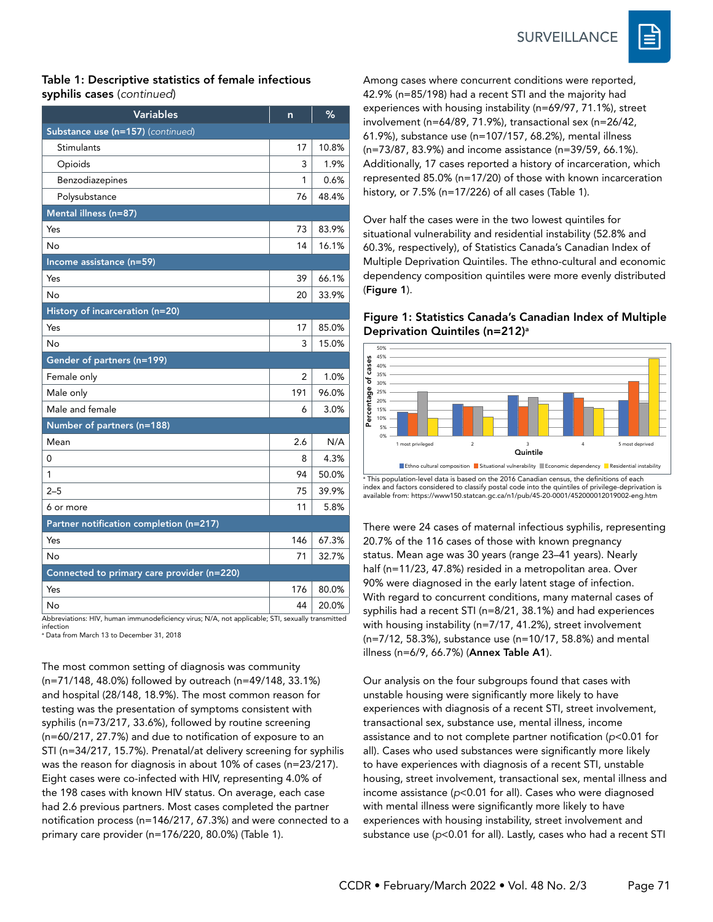**SURVEILLANCE** 



#### Table 1: Descriptive statistics of female infectious syphilis cases (*continued*)

| Substance use (n=157) (continued)<br>Stimulants<br>Opioids<br>Benzodiazepines                          | 17<br>3<br>1<br>76 | 10.8%<br>1.9%<br>0.6% |  |
|--------------------------------------------------------------------------------------------------------|--------------------|-----------------------|--|
|                                                                                                        |                    |                       |  |
|                                                                                                        |                    |                       |  |
|                                                                                                        |                    |                       |  |
|                                                                                                        |                    |                       |  |
| Polysubstance                                                                                          |                    | 48.4%                 |  |
| Mental illness (n=87)                                                                                  |                    |                       |  |
| Yes                                                                                                    | 73                 | 83.9%                 |  |
| No                                                                                                     | 14                 | 16.1%                 |  |
| Income assistance (n=59)                                                                               |                    |                       |  |
| Yes                                                                                                    | 39                 | 66.1%                 |  |
| No                                                                                                     | 20                 | 33.9%                 |  |
| History of incarceration (n=20)                                                                        |                    |                       |  |
| Yes                                                                                                    | 17                 | 85.0%                 |  |
| No                                                                                                     | 3                  | 15.0%                 |  |
| Gender of partners (n=199)                                                                             |                    |                       |  |
| Female only                                                                                            | 2                  | 1.0%                  |  |
| Male only                                                                                              | 191                | 96.0%                 |  |
| Male and female                                                                                        | 6                  | 3.0%                  |  |
| Number of partners (n=188)                                                                             |                    |                       |  |
| Mean                                                                                                   | 2.6                | N/A                   |  |
| 0                                                                                                      | 8                  | 4.3%                  |  |
| 1                                                                                                      | 94                 | 50.0%                 |  |
| $2 - 5$                                                                                                | 75                 | 39.9%                 |  |
| 6 or more                                                                                              | 11                 | 5.8%                  |  |
| Partner notification completion (n=217)                                                                |                    |                       |  |
| Yes                                                                                                    | 146                | 67.3%                 |  |
| No                                                                                                     | 71                 | 32.7%                 |  |
| Connected to primary care provider (n=220)                                                             |                    |                       |  |
| Yes                                                                                                    | 176                | 80.0%                 |  |
| No<br>Abbreviations: HIV, human immunodeficiency virus; N/A, not applicable; STI, sexually transmitted | 44                 | 20.0%                 |  |

infection a Data from March 13 to December 31, 2018

The most common setting of diagnosis was community (n=71/148, 48.0%) followed by outreach (n=49/148, 33.1%) and hospital (28/148, 18.9%). The most common reason for testing was the presentation of symptoms consistent with syphilis (n=73/217, 33.6%), followed by routine screening (n=60/217, 27.7%) and due to notification of exposure to an STI (n=34/217, 15.7%). Prenatal/at delivery screening for syphilis was the reason for diagnosis in about 10% of cases (n=23/217). Eight cases were co-infected with HIV, representing 4.0% of the 198 cases with known HIV status. On average, each case had 2.6 previous partners. Most cases completed the partner notification process (n=146/217, 67.3%) and were connected to a primary care provider (n=176/220, 80.0%) (Table 1).

Among cases where concurrent conditions were reported, 42.9% (n=85/198) had a recent STI and the majority had experiences with housing instability (n=69/97, 71.1%), street involvement (n=64/89, 71.9%), transactional sex (n=26/42, 61.9%), substance use (n=107/157, 68.2%), mental illness (n=73/87, 83.9%) and income assistance (n=39/59, 66.1%). Additionally, 17 cases reported a history of incarceration, which represented 85.0% (n=17/20) of those with known incarceration history, or 7.5% (n=17/226) of all cases (Table 1).

Over half the cases were in the two lowest quintiles for situational vulnerability and residential instability (52.8% and 60.3%, respectively), of Statistics Canada's Canadian Index of Multiple Deprivation Quintiles. The ethno-cultural and economic dependency composition quintiles were more evenly distributed (Figure 1).

#### Figure 1: Statistics Canada's Canadian Index of Multiple Deprivation Quintiles (n=212)<sup>a</sup>



a This population-level data is based on the 2016 Canadian census, the definitions of each index and factors considered to classify postal code into the quintiles of privilege-deprivation is available from:<https://www150.statcan.gc.ca/n1/pub/45-20-0001/452000012019002-eng.htm>

There were 24 cases of maternal infectious syphilis, representing 20.7% of the 116 cases of those with known pregnancy status. Mean age was 30 years (range 23–41 years). Nearly half (n=11/23, 47.8%) resided in a metropolitan area. Over 90% were diagnosed in the early latent stage of infection. With regard to concurrent conditions, many maternal cases of syphilis had a recent STI (n=8/21, 38.1%) and had experiences with housing instability (n=7/17, 41.2%), street involvement (n=7/12, 58.3%), substance use (n=10/17, 58.8%) and mental illness (n=6/9, 66.7%) (Annex Table A1).

Our analysis on the four subgroups found that cases with unstable housing were significantly more likely to have experiences with diagnosis of a recent STI, street involvement, transactional sex, substance use, mental illness, income assistance and to not complete partner notification (*p*<0.01 for all). Cases who used substances were significantly more likely to have experiences with diagnosis of a recent STI, unstable housing, street involvement, transactional sex, mental illness and income assistance (*p*<0.01 for all). Cases who were diagnosed with mental illness were significantly more likely to have experiences with housing instability, street involvement and substance use (*p*<0.01 for all). Lastly, cases who had a recent STI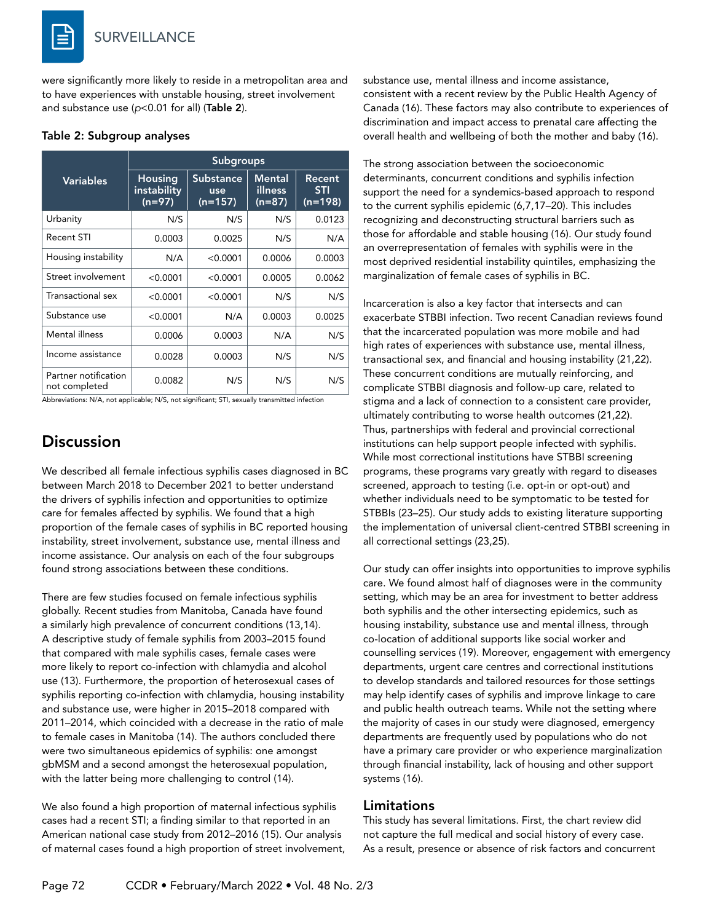were significantly more likely to reside in a metropolitan area and to have experiences with unstable housing, street involvement and substance use (*p*<0.01 for all) (Table 2).

#### Table 2: Subgroup analyses

|                                       | <b>Subgroups</b>                   |                               |                             |                                   |
|---------------------------------------|------------------------------------|-------------------------------|-----------------------------|-----------------------------------|
| <b>Variables</b>                      | Housing<br>instability<br>$(n=97)$ | Substance<br>use<br>$(n=157)$ | Mental<br>illness<br>(n=87) | Recent<br><b>STI</b><br>$(n=198)$ |
| Urbanity                              | N/S                                | N/S                           | N/S                         | 0.0123                            |
| <b>Recent STI</b>                     | 0.0003                             | 0.0025                        | N/S                         | N/A                               |
| Housing instability                   | N/A                                | < 0.0001                      | 0.0006                      | 0.0003                            |
| Street involvement                    | < 0.0001                           | < 0.0001                      | 0.0005                      | 0.0062                            |
| Transactional sex                     | < 0.0001                           | < 0.0001                      | N/S                         | N/S                               |
| Substance use                         | < 0.0001                           | N/A                           | 0.0003                      | 0.0025                            |
| Mental illness                        | 0.0006                             | 0.0003                        | N/A                         | N/S                               |
| Income assistance                     | 0.0028                             | 0.0003                        | N/S                         | N/S                               |
| Partner notification<br>not completed | 0.0082                             | N/S                           | N/S                         | N/S                               |

Abbreviations: N/A, not applicable; N/S, not significant; STI, sexually transmitted infection

# **Discussion**

We described all female infectious syphilis cases diagnosed in BC between March 2018 to December 2021 to better understand the drivers of syphilis infection and opportunities to optimize care for females affected by syphilis. We found that a high proportion of the female cases of syphilis in BC reported housing instability, street involvement, substance use, mental illness and income assistance. Our analysis on each of the four subgroups found strong associations between these conditions.

There are few studies focused on female infectious syphilis globally. Recent studies from Manitoba, Canada have found a similarly high prevalence of concurrent conditions (13,14). A descriptive study of female syphilis from 2003–2015 found that compared with male syphilis cases, female cases were more likely to report co-infection with chlamydia and alcohol use (13). Furthermore, the proportion of heterosexual cases of syphilis reporting co-infection with chlamydia, housing instability and substance use, were higher in 2015–2018 compared with 2011–2014, which coincided with a decrease in the ratio of male to female cases in Manitoba (14). The authors concluded there were two simultaneous epidemics of syphilis: one amongst gbMSM and a second amongst the heterosexual population, with the latter being more challenging to control (14).

We also found a high proportion of maternal infectious syphilis cases had a recent STI; a finding similar to that reported in an American national case study from 2012–2016 (15). Our analysis of maternal cases found a high proportion of street involvement, substance use, mental illness and income assistance, consistent with a recent review by the Public Health Agency of Canada (16). These factors may also contribute to experiences of discrimination and impact access to prenatal care affecting the overall health and wellbeing of both the mother and baby (16).

The strong association between the socioeconomic determinants, concurrent conditions and syphilis infection support the need for a syndemics-based approach to respond to the current syphilis epidemic (6,7,17–20). This includes recognizing and deconstructing structural barriers such as those for affordable and stable housing (16). Our study found an overrepresentation of females with syphilis were in the most deprived residential instability quintiles, emphasizing the marginalization of female cases of syphilis in BC.

Incarceration is also a key factor that intersects and can exacerbate STBBI infection. Two recent Canadian reviews found that the incarcerated population was more mobile and had high rates of experiences with substance use, mental illness, transactional sex, and financial and housing instability (21,22). These concurrent conditions are mutually reinforcing, and complicate STBBI diagnosis and follow-up care, related to stigma and a lack of connection to a consistent care provider, ultimately contributing to worse health outcomes (21,22). Thus, partnerships with federal and provincial correctional institutions can help support people infected with syphilis. While most correctional institutions have STBBI screening programs, these programs vary greatly with regard to diseases screened, approach to testing (i.e. opt-in or opt-out) and whether individuals need to be symptomatic to be tested for STBBIs (23–25). Our study adds to existing literature supporting the implementation of universal client-centred STBBI screening in all correctional settings (23,25).

Our study can offer insights into opportunities to improve syphilis care. We found almost half of diagnoses were in the community setting, which may be an area for investment to better address both syphilis and the other intersecting epidemics, such as housing instability, substance use and mental illness, through co-location of additional supports like social worker and counselling services (19). Moreover, engagement with emergency departments, urgent care centres and correctional institutions to develop standards and tailored resources for those settings may help identify cases of syphilis and improve linkage to care and public health outreach teams. While not the setting where the majority of cases in our study were diagnosed, emergency departments are frequently used by populations who do not have a primary care provider or who experience marginalization through financial instability, lack of housing and other support systems (16).

#### Limitations

This study has several limitations. First, the chart review did not capture the full medical and social history of every case. As a result, presence or absence of risk factors and concurrent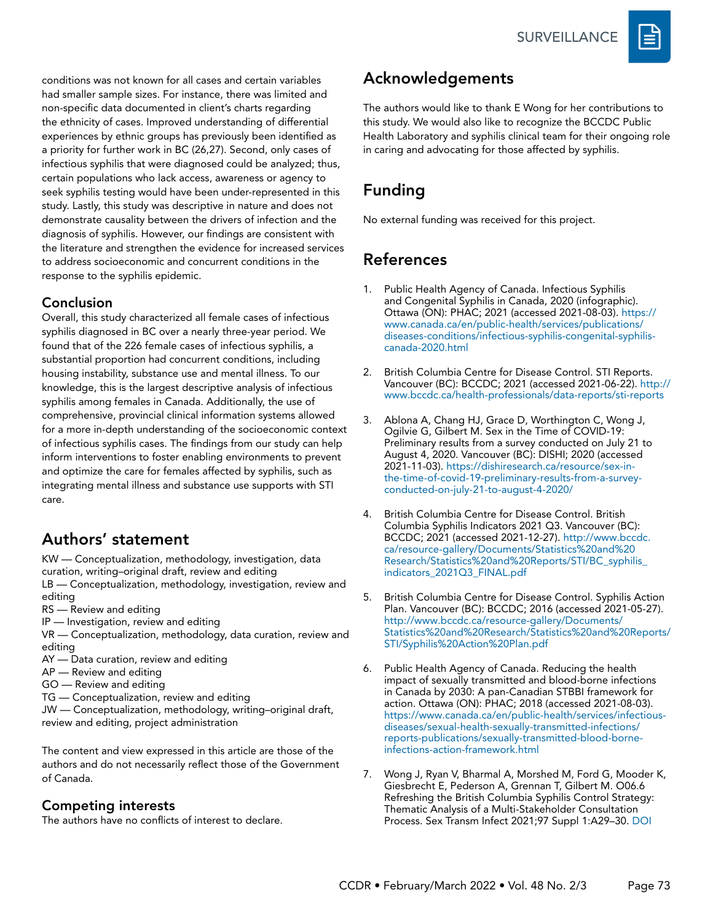

conditions was not known for all cases and certain variables had smaller sample sizes. For instance, there was limited and non-specific data documented in client's charts regarding the ethnicity of cases. Improved understanding of differential experiences by ethnic groups has previously been identified as a priority for further work in BC (26,27). Second, only cases of infectious syphilis that were diagnosed could be analyzed; thus, certain populations who lack access, awareness or agency to seek syphilis testing would have been under-represented in this study. Lastly, this study was descriptive in nature and does not demonstrate causality between the drivers of infection and the diagnosis of syphilis. However, our findings are consistent with the literature and strengthen the evidence for increased services to address socioeconomic and concurrent conditions in the response to the syphilis epidemic.

### Conclusion

Overall, this study characterized all female cases of infectious syphilis diagnosed in BC over a nearly three-year period. We found that of the 226 female cases of infectious syphilis, a substantial proportion had concurrent conditions, including housing instability, substance use and mental illness. To our knowledge, this is the largest descriptive analysis of infectious syphilis among females in Canada. Additionally, the use of comprehensive, provincial clinical information systems allowed for a more in-depth understanding of the socioeconomic context of infectious syphilis cases. The findings from our study can help inform interventions to foster enabling environments to prevent and optimize the care for females affected by syphilis, such as integrating mental illness and substance use supports with STI care.

### Authors' statement

KW — Conceptualization, methodology, investigation, data curation, writing–original draft, review and editing LB — Conceptualization, methodology, investigation, review and

- editing RS — Review and editing
- IP Investigation, review and editing
- VR Conceptualization, methodology, data curation, review and editing
- AY Data curation, review and editing
- AP Review and editing
- GO Review and editing
- TG Conceptualization, review and editing

JW — Conceptualization, methodology, writing–original draft, review and editing, project administration

The content and view expressed in this article are those of the authors and do not necessarily reflect those of the Government of Canada.

### Competing interests

The authors have no conflicts of interest to declare.

## Acknowledgements

The authors would like to thank E Wong for her contributions to this study. We would also like to recognize the BCCDC Public Health Laboratory and syphilis clinical team for their ongoing role in caring and advocating for those affected by syphilis.

# Funding

No external funding was received for this project.

# References

- 1. Public Health Agency of Canada. Infectious Syphilis and Congenital Syphilis in Canada, 2020 (infographic). Ottawa (ON): PHAC; 2021 (accessed 2021-08-03). [https://](https://www.canada.ca/en/public-health/services/publications/diseases-conditions/infectious-syphilis-congenital-syphilis-canada-2020.html) [www.canada.ca/en/public-health/services/publications/](https://www.canada.ca/en/public-health/services/publications/diseases-conditions/infectious-syphilis-congenital-syphilis-canada-2020.html) [diseases-conditions/infectious-syphilis-congenital-syphilis](https://www.canada.ca/en/public-health/services/publications/diseases-conditions/infectious-syphilis-congenital-syphilis-canada-2020.html)[canada-2020.html](https://www.canada.ca/en/public-health/services/publications/diseases-conditions/infectious-syphilis-congenital-syphilis-canada-2020.html)
- 2. British Columbia Centre for Disease Control. STI Reports. Vancouver (BC): BCCDC; 2021 (accessed 2021-06-22). [http://](http://www.bccdc.ca/health-professionals/data-reports/sti-reports) [www.bccdc.ca/health-professionals/data-reports/sti-reports](http://www.bccdc.ca/health-professionals/data-reports/sti-reports)
- 3. Ablona A, Chang HJ, Grace D, Worthington C, Wong J, Ogilvie G, Gilbert M. Sex in the Time of COVID-19: Preliminary results from a survey conducted on July 21 to August 4, 2020. Vancouver (BC): DISHI; 2020 (accessed 2021-11-03). [https://dishiresearch.ca/resource/sex-in](https://dishiresearch.ca/resource/sex-in-the-time-of-covid-19-preliminary-results-from-a-survey-conducted-on-july-21-to-august-4-2020/)[the-time-of-covid-19-preliminary-results-from-a-survey](https://dishiresearch.ca/resource/sex-in-the-time-of-covid-19-preliminary-results-from-a-survey-conducted-on-july-21-to-august-4-2020/)[conducted-on-july-21-to-august-4-2020/](https://dishiresearch.ca/resource/sex-in-the-time-of-covid-19-preliminary-results-from-a-survey-conducted-on-july-21-to-august-4-2020/)
- 4. British Columbia Centre for Disease Control. British Columbia Syphilis Indicators 2021 Q3. Vancouver (BC): BCCDC; 2021 (accessed 2021-12-27). [http://www.bccdc.](http://www.bccdc.ca/resource-gallery/Documents/Statistics%20and%20Research/Statistics%20and%20Reports/STI/BC_syphilis_indicators_2021Q3_FINAL.pdf) [ca/resource-gallery/Documents/Statistics%20and%20](http://www.bccdc.ca/resource-gallery/Documents/Statistics%20and%20Research/Statistics%20and%20Reports/STI/BC_syphilis_indicators_2021Q3_FINAL.pdf) [Research/Statistics%20and%20Reports/STI/BC\\_syphilis\\_](http://www.bccdc.ca/resource-gallery/Documents/Statistics%20and%20Research/Statistics%20and%20Reports/STI/BC_syphilis_indicators_2021Q3_FINAL.pdf) [indicators\\_2021Q3\\_FINAL.pdf](http://www.bccdc.ca/resource-gallery/Documents/Statistics%20and%20Research/Statistics%20and%20Reports/STI/BC_syphilis_indicators_2021Q3_FINAL.pdf)
- 5. British Columbia Centre for Disease Control. Syphilis Action Plan. Vancouver (BC): BCCDC; 2016 (accessed 2021-05-27). [http://www.bccdc.ca/resource-gallery/Documents/](http://www.bccdc.ca/resource-gallery/Documents/Statistics%20and%20Research/Statistics%20and%20Reports/STI/Syphilis%20Action%20Plan.pdf) [Statistics%20and%20Research/Statistics%20and%20Reports/](http://www.bccdc.ca/resource-gallery/Documents/Statistics%20and%20Research/Statistics%20and%20Reports/STI/Syphilis%20Action%20Plan.pdf) [STI/Syphilis%20Action%20Plan.pdf](http://www.bccdc.ca/resource-gallery/Documents/Statistics%20and%20Research/Statistics%20and%20Reports/STI/Syphilis%20Action%20Plan.pdf)
- 6. Public Health Agency of Canada. Reducing the health impact of sexually transmitted and blood-borne infections in Canada by 2030: A pan-Canadian STBBI framework for action. Ottawa (ON): PHAC; 2018 (accessed 2021-08-03). [https://www.canada.ca/en/public-health/services/infectious](https://www.canada.ca/en/public-health/services/infectious-diseases/sexual-health-sexually-transmitted-infections/reports-publications/sexually-transmitted-blood-borne-infections-action-framework.html)[diseases/sexual-health-sexually-transmitted-infections/](https://www.canada.ca/en/public-health/services/infectious-diseases/sexual-health-sexually-transmitted-infections/reports-publications/sexually-transmitted-blood-borne-infections-action-framework.html) [reports-publications/sexually-transmitted-blood-borne](https://www.canada.ca/en/public-health/services/infectious-diseases/sexual-health-sexually-transmitted-infections/reports-publications/sexually-transmitted-blood-borne-infections-action-framework.html)[infections-action-framework.html](https://www.canada.ca/en/public-health/services/infectious-diseases/sexual-health-sexually-transmitted-infections/reports-publications/sexually-transmitted-blood-borne-infections-action-framework.html)
- 7. Wong J, Ryan V, Bharmal A, Morshed M, Ford G, Mooder K, Giesbrecht E, Pederson A, Grennan T, Gilbert M. O06.6 Refreshing the British Columbia Syphilis Control Strategy: Thematic Analysis of a Multi-Stakeholder Consultation Process. Sex Transm Infect 2021;97 Suppl 1:A29–30. [DOI](http://doi.org/10.1136/sextrans-2021-sti.85)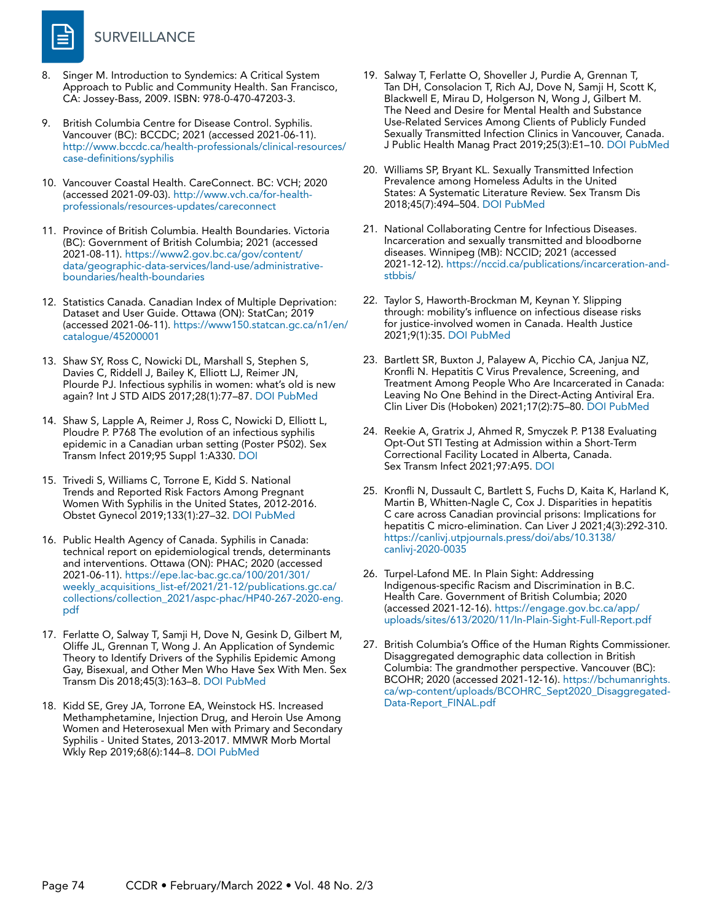

- 8. Singer M. Introduction to Syndemics: A Critical System Approach to Public and Community Health. San Francisco, CA: Jossey-Bass, 2009. ISBN: 978-0-470-47203-3.
- 9. British Columbia Centre for Disease Control. Syphilis. Vancouver (BC): BCCDC; 2021 (accessed 2021-06-11). [http://www.bccdc.ca/health-professionals/clinical-resources/](http://www.bccdc.ca/health-professionals/clinical-resources/case-definitions/syphilis) [case-definitions/syphilis](http://www.bccdc.ca/health-professionals/clinical-resources/case-definitions/syphilis)
- 10. Vancouver Coastal Health. CareConnect. BC: VCH; 2020 (accessed 2021-09-03). [http://www.vch.ca/for-health](http://www.vch.ca/for-health-professionals/resources-updates/careconnect)[professionals/resources-updates/careconnect](http://www.vch.ca/for-health-professionals/resources-updates/careconnect)
- 11. Province of British Columbia. Health Boundaries. Victoria (BC): Government of British Columbia; 2021 (accessed 2021-08-11). [https://www2.gov.bc.ca/gov/content/](https://www2.gov.bc.ca/gov/content/data/geographic-data-services/land-use/administrative-boundaries/health-boundaries
) [data/geographic-data-services/land-use/administrative](https://www2.gov.bc.ca/gov/content/data/geographic-data-services/land-use/administrative-boundaries/health-boundaries
)[boundaries/health-boundaries](https://www2.gov.bc.ca/gov/content/data/geographic-data-services/land-use/administrative-boundaries/health-boundaries
)
- 12. Statistics Canada. Canadian Index of Multiple Deprivation: Dataset and User Guide. Ottawa (ON): StatCan; 2019 (accessed 2021-06-11). [https://www150.statcan.gc.ca/n1/en/](https://www150.statcan.gc.ca/n1/en/catalogue/45200001) [catalogue/45200001](https://www150.statcan.gc.ca/n1/en/catalogue/45200001)
- 13. Shaw SY, Ross C, Nowicki DL, Marshall S, Stephen S, Davies C, Riddell J, Bailey K, Elliott LJ, Reimer JN, Plourde PJ. Infectious syphilis in women: what's old is new again? Int J STD AIDS 2017;28(1):77–87. [DOI](https://doi.org/10.1177/0956462415627397) [PubMed](https://www.ncbi.nlm.nih.gov/entrez/query.fcgi?cmd=Retrieve&db=PubMed&list_uids=26769755&dopt=Abstract)
- 14. Shaw S, Lapple A, Reimer J, Ross C, Nowicki D, Elliott L, Ploudre P. P768 The evolution of an infectious syphilis epidemic in a Canadian urban setting (Poster PS02). Sex Transm Infect 2019;95 Suppl 1:A330. [DOI](https://doi.org/10.1136/sextrans-2019-sti.826)
- 15. Trivedi S, Williams C, Torrone E, Kidd S. National Trends and Reported Risk Factors Among Pregnant Women With Syphilis in the United States, 2012-2016. Obstet Gynecol 2019;133(1):27–32. [DOI](https://doi.org/10.1097/AOG.0000000000003000) [PubMed](https://www.ncbi.nlm.nih.gov/entrez/query.fcgi?cmd=Retrieve&db=PubMed&list_uids=30531570&dopt=Abstract)
- 16. Public Health Agency of Canada. Syphilis in Canada: technical report on epidemiological trends, determinants and interventions. Ottawa (ON): PHAC; 2020 (accessed 2021-06-11). [https://epe.lac-bac.gc.ca/100/201/301/](https://epe.lac-bac.gc.ca/100/201/301/weekly_acquisitions_list-ef/2021/21-12/publications.gc.ca/collections/collection_2021/aspc-phac/HP40-267-2020-eng.pdf) [weekly\\_acquisitions\\_list-ef/2021/21-12/publications.gc.ca/](https://epe.lac-bac.gc.ca/100/201/301/weekly_acquisitions_list-ef/2021/21-12/publications.gc.ca/collections/collection_2021/aspc-phac/HP40-267-2020-eng.pdf) [collections/collection\\_2021/aspc-phac/HP40-267-2020-eng.](https://epe.lac-bac.gc.ca/100/201/301/weekly_acquisitions_list-ef/2021/21-12/publications.gc.ca/collections/collection_2021/aspc-phac/HP40-267-2020-eng.pdf) [pdf](https://epe.lac-bac.gc.ca/100/201/301/weekly_acquisitions_list-ef/2021/21-12/publications.gc.ca/collections/collection_2021/aspc-phac/HP40-267-2020-eng.pdf)
- 17. Ferlatte O, Salway T, Samji H, Dove N, Gesink D, Gilbert M, Oliffe JL, Grennan T, Wong J. An Application of Syndemic Theory to Identify Drivers of the Syphilis Epidemic Among Gay, Bisexual, and Other Men Who Have Sex With Men. Sex Transm Dis 2018;45(3):163–8. [DOI](https://doi.org/10.1097/OLQ.0000000000000713) [PubMed](https://www.ncbi.nlm.nih.gov/entrez/query.fcgi?cmd=Retrieve&db=PubMed&list_uids=29420444&dopt=Abstract)
- 18. Kidd SE, Grey JA, Torrone EA, Weinstock HS. Increased Methamphetamine, Injection Drug, and Heroin Use Among Women and Heterosexual Men with Primary and Secondary Syphilis - United States, 2013-2017. MMWR Morb Mortal Wkly Rep 2019;68(6):144–8. [DOI](https://doi.org/10.15585/mmwr.mm6806a4) [PubMed](https://www.ncbi.nlm.nih.gov/entrez/query.fcgi?cmd=Retrieve&db=PubMed&list_uids=30763294&dopt=Abstract)
- 19. Salway T, Ferlatte O, Shoveller J, Purdie A, Grennan T, Tan DH, Consolacion T, Rich AJ, Dove N, Samji H, Scott K, Blackwell E, Mirau D, Holgerson N, Wong J, Gilbert M. The Need and Desire for Mental Health and Substance Use-Related Services Among Clients of Publicly Funded Sexually Transmitted Infection Clinics in Vancouver, Canada. J Public Health Manag Pract 2019;25(3):E1–10. [DOI](https://doi.org/10.1097/PHH.0000000000000904) [PubMed](https://www.ncbi.nlm.nih.gov/entrez/query.fcgi?cmd=Retrieve&db=PubMed&list_uids=30444755&dopt=Abstract)
- 20. Williams SP, Bryant KL. Sexually Transmitted Infection Prevalence among Homeless Adults in the United States: A Systematic Literature Review. Sex Transm Dis 2018;45(7):494–504. [DOI](https://doi.org/10.1097/OLQ.0000000000000780) [PubMed](https://www.ncbi.nlm.nih.gov/entrez/query.fcgi?cmd=Retrieve&db=PubMed&list_uids=29465661&dopt=Abstract)
- 21. National Collaborating Centre for Infectious Diseases. Incarceration and sexually transmitted and bloodborne diseases. Winnipeg (MB): NCCID; 2021 (accessed 2021-12-12). [https://nccid.ca/publications/incarceration-and](https://nccid.ca/publications/incarceration-and-stbbis/)[stbbis/](https://nccid.ca/publications/incarceration-and-stbbis/)
- 22. Taylor S, Haworth-Brockman M, Keynan Y. Slipping through: mobility's influence on infectious disease risks for justice-involved women in Canada. Health Justice 2021;9(1):35. [DOI](https://doi.org/10.1186/s40352-021-00157-3) [PubMed](https://www.ncbi.nlm.nih.gov/entrez/query.fcgi?cmd=Retrieve&db=PubMed&list_uids=34845559&dopt=Abstract)
- 23. Bartlett SR, Buxton J, Palayew A, Picchio CA, Janjua NZ, Kronfli N. Hepatitis C Virus Prevalence, Screening, and Treatment Among People Who Are Incarcerated in Canada: Leaving No One Behind in the Direct-Acting Antiviral Era. Clin Liver Dis (Hoboken) 2021;17(2):75–80. [DOI](https://doi.org/10.1002/cld.1023) [PubMed](https://www.ncbi.nlm.nih.gov/entrez/query.fcgi?cmd=Retrieve&db=PubMed&list_uids=33680440&dopt=Abstract)
- 24. Reekie A, Gratrix J, Ahmed R, Smyczek P. P138 Evaluating Opt-Out STI Testing at Admission within a Short-Term Correctional Facility Located in Alberta, Canada. Sex Transm Infect 2021;97:A95. [DOI](http://doi.org/10.1136/sextrans-2021-sti.249)
- 25. Kronfli N, Dussault C, Bartlett S, Fuchs D, Kaita K, Harland K, Martin B, Whitten-Nagle C, Cox J. Disparities in hepatitis C care across Canadian provincial prisons: Implications for hepatitis C micro-elimination. Can Liver J 2021;4(3):292-310. [https://canlivj.utpjournals.press/doi/abs/10.3138/](https://canlivj.utpjournals.press/doi/abs/10.3138/canlivj-2020-0035) [canlivj-2020-0035](https://canlivj.utpjournals.press/doi/abs/10.3138/canlivj-2020-0035)
- 26. Turpel-Lafond ME. In Plain Sight: Addressing Indigenous-specific Racism and Discrimination in B.C. Health Care. Government of British Columbia; 2020 (accessed 2021-12-16). [https://engage.gov.bc.ca/app/](https://engage.gov.bc.ca/app/uploads/sites/613/2020/11/In-Plain-Sight-Full-Report.pdf) [uploads/sites/613/2020/11/In-Plain-Sight-Full-Report.pdf](https://engage.gov.bc.ca/app/uploads/sites/613/2020/11/In-Plain-Sight-Full-Report.pdf)
- 27. British Columbia's Office of the Human Rights Commissioner. Disaggregated demographic data collection in British Columbia: The grandmother perspective. Vancouver (BC): BCOHR; 2020 (accessed 2021-12-16). [https://bchumanrights.](https://bchumanrights.ca/wp-content/uploads/BCOHRC_Sept2020_Disaggregated-Data-Report_FINAL.pdf) [ca/wp-content/uploads/BCOHRC\\_Sept2020\\_Disaggregated-](https://bchumanrights.ca/wp-content/uploads/BCOHRC_Sept2020_Disaggregated-Data-Report_FINAL.pdf)[Data-Report\\_FINAL.pdf](https://bchumanrights.ca/wp-content/uploads/BCOHRC_Sept2020_Disaggregated-Data-Report_FINAL.pdf)